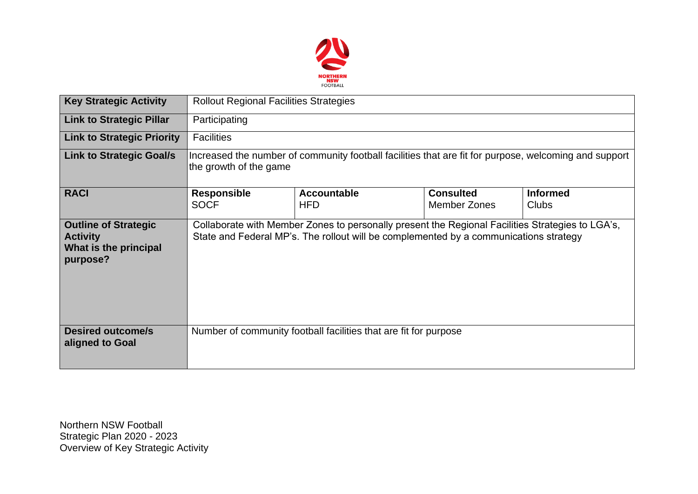

| <b>Key Strategic Activity</b>                                                       | <b>Rollout Regional Facilities Strategies</b>                                                                                                                                             |                                  |                                         |                                 |  |  |  |
|-------------------------------------------------------------------------------------|-------------------------------------------------------------------------------------------------------------------------------------------------------------------------------------------|----------------------------------|-----------------------------------------|---------------------------------|--|--|--|
| <b>Link to Strategic Pillar</b>                                                     | Participating                                                                                                                                                                             |                                  |                                         |                                 |  |  |  |
| <b>Link to Strategic Priority</b>                                                   | <b>Facilities</b>                                                                                                                                                                         |                                  |                                         |                                 |  |  |  |
| <b>Link to Strategic Goal/s</b>                                                     | Increased the number of community football facilities that are fit for purpose, welcoming and support<br>the growth of the game                                                           |                                  |                                         |                                 |  |  |  |
| <b>RACI</b>                                                                         | <b>Responsible</b><br><b>SOCF</b>                                                                                                                                                         | <b>Accountable</b><br><b>HFD</b> | <b>Consulted</b><br><b>Member Zones</b> | <b>Informed</b><br><b>Clubs</b> |  |  |  |
| <b>Outline of Strategic</b><br><b>Activity</b><br>What is the principal<br>purpose? | Collaborate with Member Zones to personally present the Regional Facilities Strategies to LGA's,<br>State and Federal MP's. The rollout will be complemented by a communications strategy |                                  |                                         |                                 |  |  |  |
| <b>Desired outcome/s</b><br>aligned to Goal                                         | Number of community football facilities that are fit for purpose                                                                                                                          |                                  |                                         |                                 |  |  |  |

Northern NSW Football Strategic Plan 2020 - 2023 Overview of Key Strategic Activity